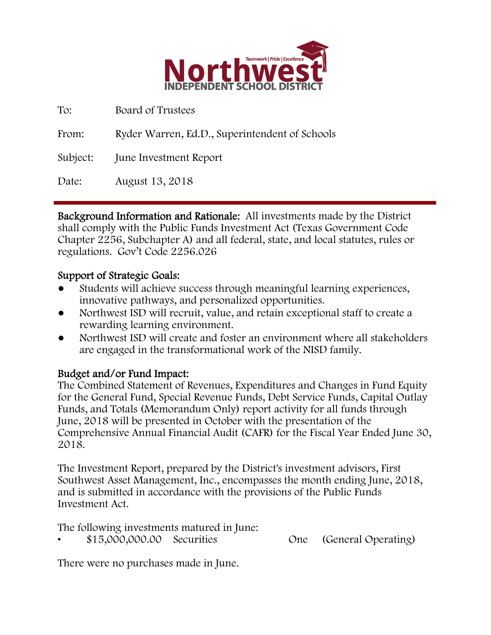

To: Board of Trustees

From: Ryder Warren, Ed.D., Superintendent of Schools

Subject: June Investment Report

Date: August 13, 2018

Background Information and Rationale: All investments made by the District shall comply with the Public Funds Investment Act (Texas Government Code Chapter 2256, Subchapter A) and all federal, state, and local statutes, rules or regulations. Gov't Code 2256.026

## Support of Strategic Goals:

- Students will achieve success through meaningful learning experiences, innovative pathways, and personalized opportunities.
- Northwest ISD will recruit, value, and retain exceptional staff to create a rewarding learning environment.
- Northwest ISD will create and foster an environment where all stakeholders are engaged in the transformational work of the NISD family.

## Budget and/or Fund Impact:

The Combined Statement of Revenues, Expenditures and Changes in Fund Equity for the General Fund, Special Revenue Funds, Debt Service Funds, Capital Outlay Funds, and Totals (Memorandum Only) report activity for all funds through June, 2018 will be presented in October with the presentation of the Comprehensive Annual Financial Audit (CAFR) for the Fiscal Year Ended June 30, 2018.

The Investment Report, prepared by the District's investment advisors, First Southwest Asset Management, Inc., encompasses the month ending June, 2018, and is submitted in accordance with the provisions of the Public Funds Investment Act.

The following investments matured in June:

• \$15,000,000.00 Securities One (General Operating)

There were no purchases made in June.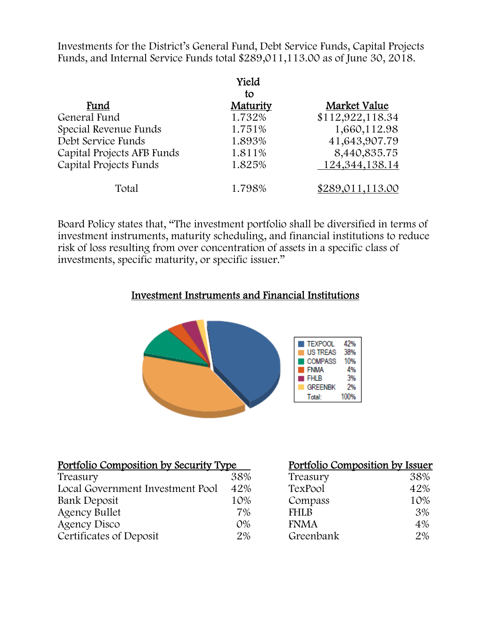Investments for the District's General Fund, Debt Service Funds, Capital Projects Funds, and Internal Service Funds total \$289,011,113.00 as of June 30, 2018.

|                            | Yield    |                   |
|----------------------------|----------|-------------------|
|                            | tο       |                   |
| Fund                       | Maturity | Market Value      |
| General Fund               | 1.732%   | \$112,922,118.34  |
| Special Revenue Funds      | 1.751%   | 1,660,112.98      |
| Debt Service Funds         | 1.893%   | 41,643,907.79     |
| Capital Projects AFB Funds | 1.811%   | 8,440,835.75      |
| Capital Projects Funds     | 1.825%   | 124, 344, 138. 14 |
| Total                      | 1.798%   | \$289,011,113.00  |

Board Policy states that, "The investment portfolio shall be diversified in terms of investment instruments, maturity scheduling, and financial institutions to reduce risk of loss resulting from over concentration of assets in a specific class of investments, specific maturity, or specific issuer."

### Investment Instruments and Financial Institutions



| Portfolio Composition by Security Type |       | Portfolio Composition by Issuer |     |
|----------------------------------------|-------|---------------------------------|-----|
| Treasury                               | 38%   | Treasury                        | 38% |
| Local Government Investment Pool       | 42%   | TexPool                         | 42% |
| Bank Deposit                           | 10%   | Compass                         | 10% |
| <b>Agency Bullet</b>                   | 7%    | <b>FHLB</b>                     | 3%  |
| Agency Disco                           | $O\%$ | <b>FNMA</b>                     | 4%  |
| Certificates of Deposit                | 2%    | Greenbank                       | 2%  |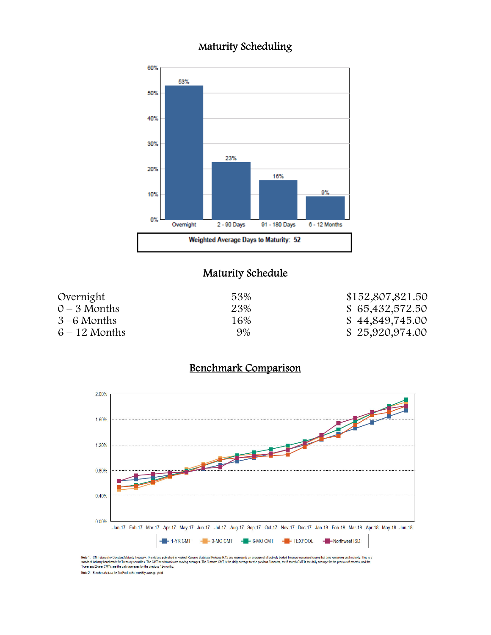# Maturity Scheduling



#### **Maturity Schedule**

| Overnight       | 53% | \$152,807,821.50 |
|-----------------|-----|------------------|
| $0 - 3$ Months  | 23% | \$ 65,432,572.50 |
| $3 - 6$ Months  | 16% | \$44,849,745.00  |
| $6 - 12$ Months | 9%  | \$25,920,974.00  |

# Benchmark Comparison



Note 1: CMT stands for Constant Maturity Treasury. This data is published in Federal Resere Statistical Release H.15 and represents an average of all actively traded Treasury securities having that time remaining until mat Note 2: Benchmark data for TexPool is the monthly average yield.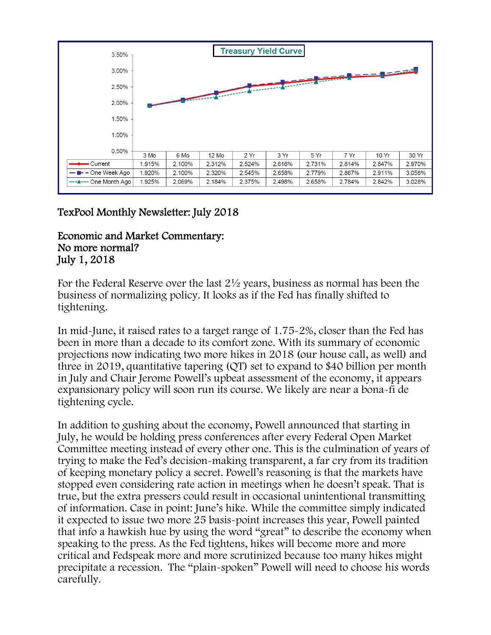

## TexPool Monthly Newsletter: July 2018

### Economic and Market Commentary: No more normal? July 1, 2018

For the Federal Reserve over the last 2½ years, business as normal has been the business of normalizing policy. It looks as if the Fed has finally shifted to tightening.

In mid-June, it raised rates to a target range of 1.75-2%, closer than the Fed has been in more than a decade to its comfort zone. With its summary of economic projections now indicating two more hikes in 2018 (our house call, as well) and three in 2019, quantitative tapering (QT) set to expand to \$40 billion per month in July and Chair Jerome Powell's upbeat assessment of the economy, it appears expansionary policy will soon run its course. We likely are near a bona-fi de tightening cycle.

In addition to gushing about the economy, Powell announced that starting in July, he would be holding press conferences after every Federal Open Market Committee meeting instead of every other one. This is the culmination of years of trying to make the Fed's decision-making transparent, a far cry from its tradition of keeping monetary policy a secret. Powell's reasoning is that the markets have stopped even considering rate action in meetings when he doesn't speak. That is true, but the extra pressers could result in occasional unintentional transmitting of information. Case in point: June's hike. While the committee simply indicated it expected to issue two more 25 basis-point increases this year, Powell painted that info a hawkish hue by using the word "great" to describe the economy when speaking to the press. As the Fed tightens, hikes will become more and more critical and Fedspeak more and more scrutinized because too many hikes might precipitate a recession. The "plain-spoken" Powell will need to choose his words carefully.